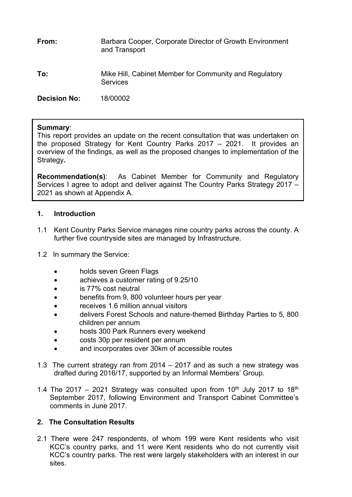**From:** Barbara Cooper, Corporate Director of Growth Environment and Transport

**To:** Mike Hill, Cabinet Member for Community and Regulatory **Services** 

**Decision No:** 18/00002

#### **Summary**:

This report provides an update on the recent consultation that was undertaken on the proposed Strategy for Kent Country Parks 2017 – 2021. It provides an overview of the findings, as well as the proposed changes to implementation of the Strategy**.**

**Recommendation(s)**: As Cabinet Member for Community and Regulatory Services I agree to adopt and deliver against The Country Parks Strategy 2017 – 2021 as shown at Appendix A.

#### **1. Introduction**

- 1.1 Kent Country Parks Service manages nine country parks across the county. A further five countryside sites are managed by Infrastructure.
- 1.2 In summary the Service:
	- holds seven Green Flags
	- achieves a customer rating of 9.25/10
	- is 77% cost neutral
	- benefits from 9, 800 volunteer hours per year
	- receives 1.6 million annual visitors
	- delivers Forest Schools and nature-themed Birthday Parties to 5, 800 children per annum
	- hosts 300 Park Runners every weekend
	- costs 30p per resident per annum
	- and incorporates over 30km of accessible routes
- 1.3 The current strategy ran from 2014 2017 and as such a new strategy was drafted during 2016/17, supported by an Informal Members' Group.
- 1.4 The 2017 2021 Strategy was consulted upon from 10<sup>th</sup> July 2017 to 18<sup>th</sup> September 2017, following Environment and Transport Cabinet Committee's comments in June 2017.

## **2. The Consultation Results**

2.1 There were 247 respondents, of whom 199 were Kent residents who visit KCC's country parks, and 11 were Kent residents who do not currently visit KCC's country parks. The rest were largely stakeholders with an interest in our sites.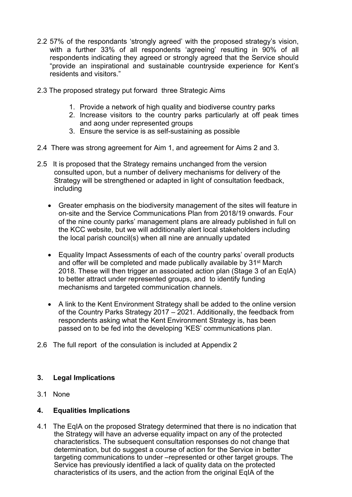- 2.2 57% of the respondants 'strongly agreed' with the proposed strategy's vision, with a further 33% of all respondents 'agreeing' resulting in 90% of all respondents indicating they agreed or strongly agreed that the Service should "provide an inspirational and sustainable countryside experience for Kent's residents and visitors."
- 2.3 The proposed strategy put forward three Strategic Aims
	- 1. Provide a network of high quality and biodiverse country parks
	- 2. Increase visitors to the country parks particularly at off peak times and aong under represented groups
	- 3. Ensure the service is as self-sustaining as possible
- 2.4 There was strong agreement for Aim 1, and agreement for Aims 2 and 3.
- 2.5 It is proposed that the Strategy remains unchanged from the version consulted upon, but a number of delivery mechanisms for delivery of the Strategy will be strengthened or adapted in light of consultation feedback, including
	- Greater emphasis on the biodiversity management of the sites will feature in on-site and the Service Communications Plan from 2018/19 onwards. Four of the nine county parks' management plans are already published in full on the KCC website, but we will additionally alert local stakeholders including the local parish council(s) when all nine are annually updated
	- Equality Impact Assessments of each of the country parks' overall products and offer will be completed and made publically available by 31<sup>st</sup> March 2018. These will then trigger an associated action plan (Stage 3 of an EqIA) to better attract under represented groups, and to identify funding mechanisms and targeted communication channels.
	- A link to the Kent Environment Strategy shall be added to the online version of the Country Parks Strategy 2017 – 2021. Additionally, the feedback from respondents asking what the Kent Environment Strategy is, has been passed on to be fed into the developing 'KES' communications plan.
- 2.6 The full report of the consulation is included at Appendix 2

## **3. Legal Implications**

3.1 None

## **4. Equalities Implications**

4.1 The EqIA on the proposed Strategy determined that there is no indication that the Strategy will have an adverse equality impact on any of the protected characteristics. The subsequent consultation responses do not change that determination, but do suggest a course of action for the Service in better targeting communications to under –represented or other target groups. The Service has previously identified a lack of quality data on the protected characteristics of its users, and the action from the original EqIA of the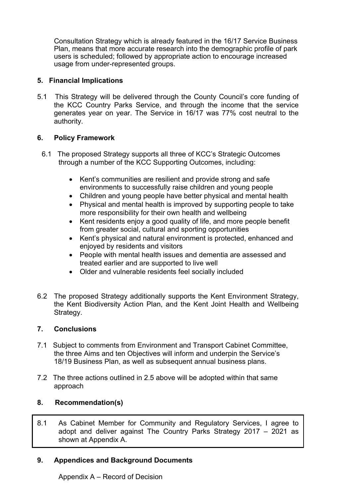Consultation Strategy which is already featured in the 16/17 Service Business Plan, means that more accurate research into the demographic profile of park users is scheduled; followed by appropriate action to encourage increased usage from under-represented groups.

## **5. Financial Implications**

5.1 This Strategy will be delivered through the County Council's core funding of the KCC Country Parks Service, and through the income that the service generates year on year. The Service in 16/17 was 77% cost neutral to the authority.

## **6. Policy Framework**

- 6.1 The proposed Strategy supports all three of KCC's Strategic Outcomes through a number of the KCC Supporting Outcomes, including:
	- Kent's communities are resilient and provide strong and safe environments to successfully raise children and young people
	- Children and young people have better physical and mental health
	- Physical and mental health is improved by supporting people to take more responsibility for their own health and wellbeing
	- Kent residents enjoy a good quality of life, and more people benefit from greater social, cultural and sporting opportunities
	- Kent's physical and natural environment is protected, enhanced and enjoyed by residents and visitors
	- People with mental health issues and dementia are assessed and treated earlier and are supported to live well
	- Older and vulnerable residents feel socially included
- 6.2 The proposed Strategy additionally supports the Kent Environment Strategy, the Kent Biodiversity Action Plan, and the Kent Joint Health and Wellbeing Strategy.

## **7. Conclusions**

- 7.1 Subject to comments from Environment and Transport Cabinet Committee, the three Aims and ten Objectives will inform and underpin the Service's 18/19 Business Plan, as well as subsequent annual business plans.
- 7.2 The three actions outlined in 2.5 above will be adopted within that same approach

# **8. Recommendation(s)**

8.1 As Cabinet Member for Community and Regulatory Services, I agree to adopt and deliver against The Country Parks Strategy 2017 – 2021 as shown at Appendix A.

## **9. Appendices and Background Documents**